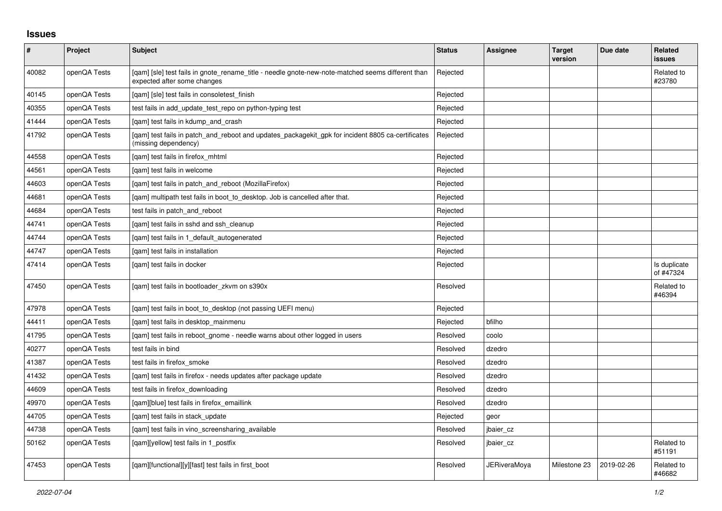## **Issues**

| $\pmb{\#}$ | Project      | <b>Subject</b>                                                                                                                   | <b>Status</b> | Assignee     | <b>Target</b><br>version | Due date   | Related<br>issues         |
|------------|--------------|----------------------------------------------------------------------------------------------------------------------------------|---------------|--------------|--------------------------|------------|---------------------------|
| 40082      | openQA Tests | [gam] [sle] test fails in gnote rename title - needle gnote-new-note-matched seems different than<br>expected after some changes | Rejected      |              |                          |            | Related to<br>#23780      |
| 40145      | openQA Tests | [qam] [sle] test fails in consoletest_finish                                                                                     | Rejected      |              |                          |            |                           |
| 40355      | openQA Tests | test fails in add update test repo on python-typing test                                                                         | Rejected      |              |                          |            |                           |
| 41444      | openQA Tests | [gam] test fails in kdump and crash                                                                                              | Rejected      |              |                          |            |                           |
| 41792      | openQA Tests | [qam] test fails in patch_and_reboot and updates_packagekit_gpk for incident 8805 ca-certificates<br>(missing dependency)        | Rejected      |              |                          |            |                           |
| 44558      | openQA Tests | [qam] test fails in firefox_mhtml                                                                                                | Rejected      |              |                          |            |                           |
| 44561      | openQA Tests | [gam] test fails in welcome                                                                                                      | Rejected      |              |                          |            |                           |
| 44603      | openQA Tests | [gam] test fails in patch and reboot (MozillaFirefox)                                                                            | Rejected      |              |                          |            |                           |
| 44681      | openQA Tests | [qam] multipath test fails in boot_to_desktop. Job is cancelled after that.                                                      | Rejected      |              |                          |            |                           |
| 44684      | openQA Tests | test fails in patch and reboot                                                                                                   | Rejected      |              |                          |            |                           |
| 44741      | openQA Tests | [gam] test fails in sshd and ssh cleanup                                                                                         | Rejected      |              |                          |            |                           |
| 44744      | openQA Tests | [qam] test fails in 1_default_autogenerated                                                                                      | Rejected      |              |                          |            |                           |
| 44747      | openQA Tests | [gam] test fails in installation                                                                                                 | Rejected      |              |                          |            |                           |
| 47414      | openQA Tests | [gam] test fails in docker                                                                                                       | Rejected      |              |                          |            | Is duplicate<br>of #47324 |
| 47450      | openQA Tests | [qam] test fails in bootloader_zkvm on s390x                                                                                     | Resolved      |              |                          |            | Related to<br>#46394      |
| 47978      | openQA Tests | [qam] test fails in boot_to_desktop (not passing UEFI menu)                                                                      | Rejected      |              |                          |            |                           |
| 44411      | openQA Tests | [gam] test fails in desktop mainmenu                                                                                             | Rejected      | bfilho       |                          |            |                           |
| 41795      | openQA Tests | [gam] test fails in reboot gnome - needle warns about other logged in users                                                      | Resolved      | coolo        |                          |            |                           |
| 40277      | openQA Tests | test fails in bind                                                                                                               | Resolved      | dzedro       |                          |            |                           |
| 41387      | openQA Tests | test fails in firefox smoke                                                                                                      | Resolved      | dzedro       |                          |            |                           |
| 41432      | openQA Tests | [gam] test fails in firefox - needs updates after package update                                                                 | Resolved      | dzedro       |                          |            |                           |
| 44609      | openQA Tests | test fails in firefox_downloading                                                                                                | Resolved      | dzedro       |                          |            |                           |
| 49970      | openQA Tests | [gam][blue] test fails in firefox emaillink                                                                                      | Resolved      | dzedro       |                          |            |                           |
| 44705      | openQA Tests | [gam] test fails in stack update                                                                                                 | Rejected      | geor         |                          |            |                           |
| 44738      | openQA Tests | [gam] test fails in vino screensharing available                                                                                 | Resolved      | jbaier_cz    |                          |            |                           |
| 50162      | openQA Tests | [qam][yellow] test fails in 1_postfix                                                                                            | Resolved      | jbaier_cz    |                          |            | Related to<br>#51191      |
| 47453      | openQA Tests | [gam][functional][y][fast] test fails in first boot                                                                              | Resolved      | JERiveraMoya | Milestone 23             | 2019-02-26 | Related to<br>#46682      |